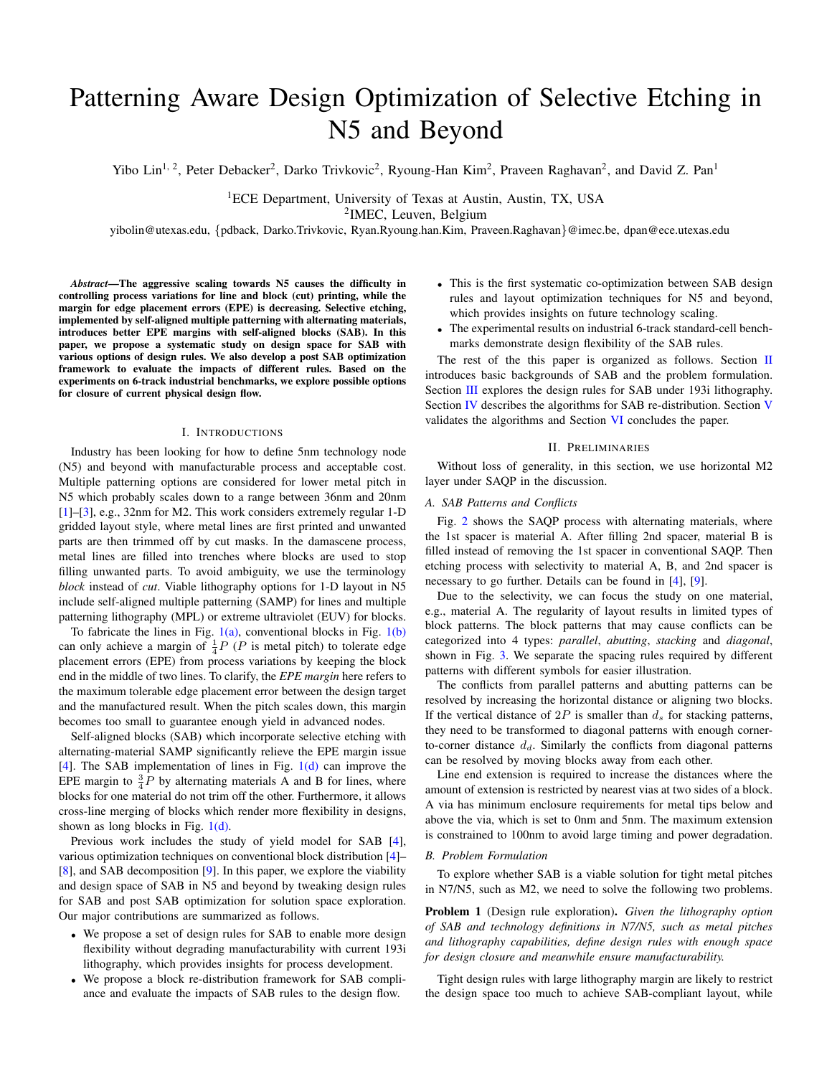# Patterning Aware Design Optimization of Selective Etching in N5 and Beyond

Yibo Lin<sup>1, 2</sup>, Peter Debacker<sup>2</sup>, Darko Trivkovic<sup>2</sup>, Ryoung-Han Kim<sup>2</sup>, Praveen Raghavan<sup>2</sup>, and David Z. Pan<sup>1</sup>

<sup>1</sup>ECE Department, University of Texas at Austin, Austin, TX, USA 2 IMEC, Leuven, Belgium

yibolin@utexas.edu, {pdback, Darko.Trivkovic, Ryan.Ryoung.han.Kim, Praveen.Raghavan}@imec.be, dpan@ece.utexas.edu

*Abstract*—The aggressive scaling towards N5 causes the difficulty in controlling process variations for line and block (cut) printing, while the margin for edge placement errors (EPE) is decreasing. Selective etching, implemented by self-aligned multiple patterning with alternating materials, introduces better EPE margins with self-aligned blocks (SAB). In this paper, we propose a systematic study on design space for SAB with various options of design rules. We also develop a post SAB optimization framework to evaluate the impacts of different rules. Based on the experiments on 6-track industrial benchmarks, we explore possible options for closure of current physical design flow.

#### I. INTRODUCTIONS

Industry has been looking for how to define 5nm technology node (N5) and beyond with manufacturable process and acceptable cost. Multiple patterning options are considered for lower metal pitch in N5 which probably scales down to a range between 36nm and 20nm [\[1\]](#page-2-0)–[\[3\]](#page-3-0), e.g., 32nm for M2. This work considers extremely regular 1-D gridded layout style, where metal lines are first printed and unwanted parts are then trimmed off by cut masks. In the damascene process, metal lines are filled into trenches where blocks are used to stop filling unwanted parts. To avoid ambiguity, we use the terminology *block* instead of *cut*. Viable lithography options for 1-D layout in N5 include self-aligned multiple patterning (SAMP) for lines and multiple patterning lithography (MPL) or extreme ultraviolet (EUV) for blocks.

To fabricate the lines in Fig.  $1(a)$ , conventional blocks in Fig.  $1(b)$ can only achieve a margin of  $\frac{1}{4}P$  (*P* is metal pitch) to tolerate edge placement errors (EPE) from process variations by keeping the block end in the middle of two lines. To clarify, the *EPE margin* here refers to the maximum tolerable edge placement error between the design target and the manufactured result. When the pitch scales down, this margin becomes too small to guarantee enough yield in advanced nodes.

Self-aligned blocks (SAB) which incorporate selective etching with alternating-material SAMP significantly relieve the EPE margin issue [\[4\]](#page-3-1). The SAB implementation of lines in Fig.  $1(d)$  can improve the EPE margin to  $\frac{3}{4}P$  by alternating materials A and B for lines, where blocks for one material do not trim off the other. Furthermore, it allows cross-line merging of blocks which render more flexibility in designs, shown as long blocks in Fig. [1\(d\).](#page-2-3)

Previous work includes the study of yield model for SAB [\[4\]](#page-3-1), various optimization techniques on conventional block distribution [\[4\]](#page-3-1)– [\[8\]](#page-3-2), and SAB decomposition [\[9\]](#page-3-3). In this paper, we explore the viability and design space of SAB in N5 and beyond by tweaking design rules for SAB and post SAB optimization for solution space exploration. Our major contributions are summarized as follows.

- We propose a set of design rules for SAB to enable more design flexibility without degrading manufacturability with current 193i lithography, which provides insights for process development.
- We propose a block re-distribution framework for SAB compliance and evaluate the impacts of SAB rules to the design flow.
- This is the first systematic co-optimization between SAB design rules and layout optimization techniques for N5 and beyond, which provides insights on future technology scaling.
- The experimental results on industrial 6-track standard-cell benchmarks demonstrate design flexibility of the SAB rules.

The rest of the this paper is organized as follows. Section [II](#page-0-0) introduces basic backgrounds of SAB and the problem formulation. Section [III](#page-1-0) explores the design rules for SAB under 193i lithography. Section [IV](#page-1-1) describes the algorithms for SAB re-distribution. Section [V](#page-2-4) validates the algorithms and Section [VI](#page-2-5) concludes the paper.

#### II. PRELIMINARIES

<span id="page-0-0"></span>Without loss of generality, in this section, we use horizontal M2 layer under SAQP in the discussion.

# *A. SAB Patterns and Conflicts*

Fig. [2](#page-2-6) shows the SAQP process with alternating materials, where the 1st spacer is material A. After filling 2nd spacer, material B is filled instead of removing the 1st spacer in conventional SAQP. Then etching process with selectivity to material A, B, and 2nd spacer is necessary to go further. Details can be found in [\[4\]](#page-3-1), [\[9\]](#page-3-3).

Due to the selectivity, we can focus the study on one material, e.g., material A. The regularity of layout results in limited types of block patterns. The block patterns that may cause conflicts can be categorized into 4 types: *parallel*, *abutting*, *stacking* and *diagonal*, shown in Fig. [3.](#page-3-4) We separate the spacing rules required by different patterns with different symbols for easier illustration.

The conflicts from parallel patterns and abutting patterns can be resolved by increasing the horizontal distance or aligning two blocks. If the vertical distance of  $2P$  is smaller than  $d_s$  for stacking patterns, they need to be transformed to diagonal patterns with enough cornerto-corner distance  $d_d$ . Similarly the conflicts from diagonal patterns can be resolved by moving blocks away from each other.

Line end extension is required to increase the distances where the amount of extension is restricted by nearest vias at two sides of a block. A via has minimum enclosure requirements for metal tips below and above the via, which is set to 0nm and 5nm. The maximum extension is constrained to 100nm to avoid large timing and power degradation.

#### *B. Problem Formulation*

To explore whether SAB is a viable solution for tight metal pitches in N7/N5, such as M2, we need to solve the following two problems.

Problem 1 (Design rule exploration). *Given the lithography option of SAB and technology definitions in N7/N5, such as metal pitches and lithography capabilities, define design rules with enough space for design closure and meanwhile ensure manufacturability.*

Tight design rules with large lithography margin are likely to restrict the design space too much to achieve SAB-compliant layout, while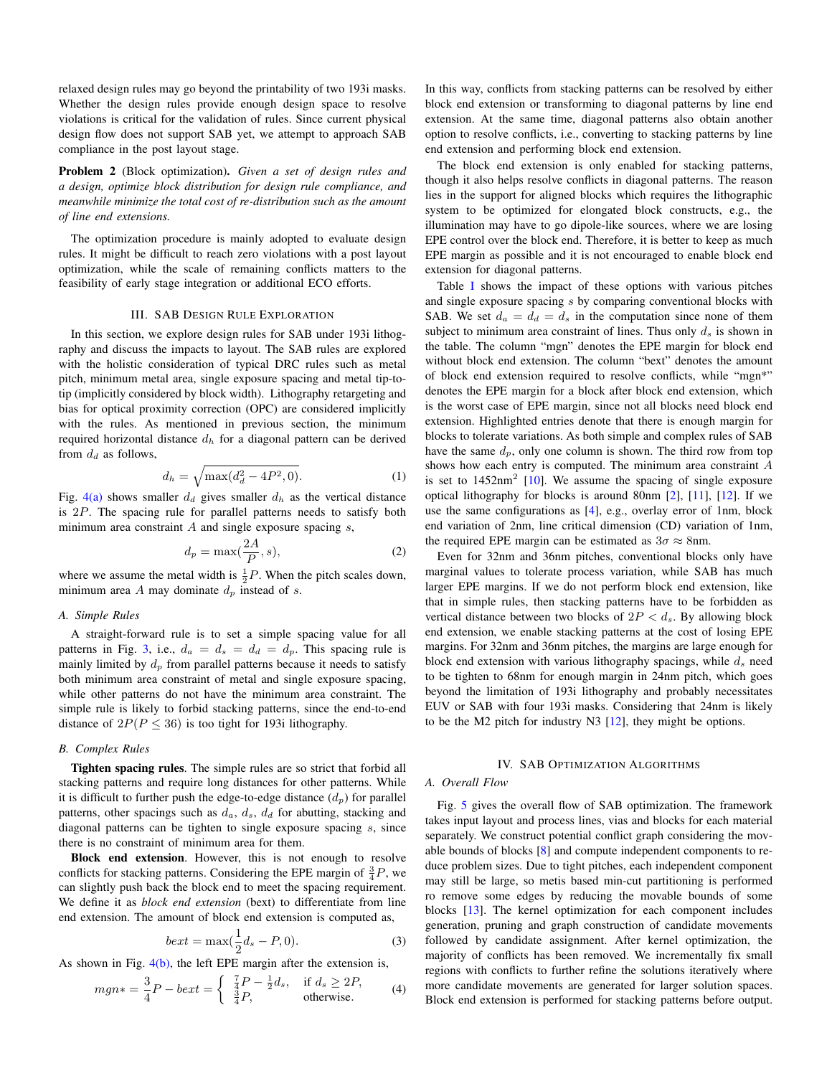relaxed design rules may go beyond the printability of two 193i masks. Whether the design rules provide enough design space to resolve violations is critical for the validation of rules. Since current physical design flow does not support SAB yet, we attempt to approach SAB compliance in the post layout stage.

Problem 2 (Block optimization). *Given a set of design rules and a design, optimize block distribution for design rule compliance, and meanwhile minimize the total cost of re-distribution such as the amount of line end extensions.*

The optimization procedure is mainly adopted to evaluate design rules. It might be difficult to reach zero violations with a post layout optimization, while the scale of remaining conflicts matters to the feasibility of early stage integration or additional ECO efforts.

#### III. SAB DESIGN RULE EXPLORATION

<span id="page-1-0"></span>In this section, we explore design rules for SAB under 193i lithography and discuss the impacts to layout. The SAB rules are explored with the holistic consideration of typical DRC rules such as metal pitch, minimum metal area, single exposure spacing and metal tip-totip (implicitly considered by block width). Lithography retargeting and bias for optical proximity correction (OPC) are considered implicitly with the rules. As mentioned in previous section, the minimum required horizontal distance  $d<sub>h</sub>$  for a diagonal pattern can be derived from  $d_d$  as follows,

<span id="page-1-3"></span>
$$
d_h = \sqrt{\max(d_d^2 - 4P^2, 0)}.
$$
 (1)

Fig. [4\(a\)](#page-3-5) shows smaller  $d_d$  gives smaller  $d_h$  as the vertical distance is 2P. The spacing rule for parallel patterns needs to satisfy both minimum area constraint  $A$  and single exposure spacing  $s$ ,

<span id="page-1-2"></span>
$$
d_p = \max(\frac{2A}{P}, s),\tag{2}
$$

where we assume the metal width is  $\frac{1}{2}P$ . When the pitch scales down, minimum area A may dominate  $d_p$  instead of s.

#### *A. Simple Rules*

A straight-forward rule is to set a simple spacing value for all patterns in Fig. [3,](#page-3-4) i.e.,  $d_a = d_s = d_d = d_p$ . This spacing rule is mainly limited by  $d_p$  from parallel patterns because it needs to satisfy both minimum area constraint of metal and single exposure spacing, while other patterns do not have the minimum area constraint. The simple rule is likely to forbid stacking patterns, since the end-to-end distance of  $2P(P \le 36)$  is too tight for 193i lithography.

# *B. Complex Rules*

Tighten spacing rules. The simple rules are so strict that forbid all stacking patterns and require long distances for other patterns. While it is difficult to further push the edge-to-edge distance  $(d_p)$  for parallel patterns, other spacings such as  $d_a$ ,  $d_s$ ,  $d_d$  for abutting, stacking and diagonal patterns can be tighten to single exposure spacing s, since there is no constraint of minimum area for them.

Block end extension. However, this is not enough to resolve conflicts for stacking patterns. Considering the EPE margin of  $\frac{3}{4}P$ , we can slightly push back the block end to meet the spacing requirement. We define it as *block end extension* (bext) to differentiate from line end extension. The amount of block end extension is computed as,

<span id="page-1-4"></span>
$$
bext = \max(\frac{1}{2}d_s - P, 0). \tag{3}
$$

As shown in Fig. [4\(b\),](#page-3-6) the left EPE margin after the extension is,

<span id="page-1-5"></span>
$$
mgn* = \frac{3}{4}P - bext = \begin{cases} \frac{7}{4}P - \frac{1}{2}d_s, & \text{if } d_s \ge 2P, \\ \frac{3}{4}P, & \text{otherwise.} \end{cases}
$$
 (4)

In this way, conflicts from stacking patterns can be resolved by either block end extension or transforming to diagonal patterns by line end extension. At the same time, diagonal patterns also obtain another option to resolve conflicts, i.e., converting to stacking patterns by line end extension and performing block end extension.

The block end extension is only enabled for stacking patterns, though it also helps resolve conflicts in diagonal patterns. The reason lies in the support for aligned blocks which requires the lithographic system to be optimized for elongated block constructs, e.g., the illumination may have to go dipole-like sources, where we are losing EPE control over the block end. Therefore, it is better to keep as much EPE margin as possible and it is not encouraged to enable block end extension for diagonal patterns.

Table [I](#page-3-7) shows the impact of these options with various pitches and single exposure spacing s by comparing conventional blocks with SAB. We set  $d_a = d_d = d_s$  in the computation since none of them subject to minimum area constraint of lines. Thus only  $d_s$  is shown in the table. The column "mgn" denotes the EPE margin for block end without block end extension. The column "bext" denotes the amount of block end extension required to resolve conflicts, while "mgn\*" denotes the EPE margin for a block after block end extension, which is the worst case of EPE margin, since not all blocks need block end extension. Highlighted entries denote that there is enough margin for blocks to tolerate variations. As both simple and complex rules of SAB have the same  $d_p$ , only one column is shown. The third row from top shows how each entry is computed. The minimum area constraint A is set to  $1452$ nm<sup>2</sup> [\[10\]](#page-3-8). We assume the spacing of single exposure optical lithography for blocks is around 80nm [\[2\]](#page-3-9), [\[11\]](#page-3-10), [\[12\]](#page-3-11). If we use the same configurations as [\[4\]](#page-3-1), e.g., overlay error of 1nm, block end variation of 2nm, line critical dimension (CD) variation of 1nm, the required EPE margin can be estimated as  $3\sigma \approx 8$ nm.

Even for 32nm and 36nm pitches, conventional blocks only have marginal values to tolerate process variation, while SAB has much larger EPE margins. If we do not perform block end extension, like that in simple rules, then stacking patterns have to be forbidden as vertical distance between two blocks of  $2P < d_s$ . By allowing block end extension, we enable stacking patterns at the cost of losing EPE margins. For 32nm and 36nm pitches, the margins are large enough for block end extension with various lithography spacings, while  $d_s$  need to be tighten to 68nm for enough margin in 24nm pitch, which goes beyond the limitation of 193i lithography and probably necessitates EUV or SAB with four 193i masks. Considering that 24nm is likely to be the M2 pitch for industry N3 [\[12\]](#page-3-11), they might be options.

# IV. SAB OPTIMIZATION ALGORITHMS

# <span id="page-1-1"></span>*A. Overall Flow*

Fig. [5](#page-3-7) gives the overall flow of SAB optimization. The framework takes input layout and process lines, vias and blocks for each material separately. We construct potential conflict graph considering the movable bounds of blocks [\[8\]](#page-3-2) and compute independent components to reduce problem sizes. Due to tight pitches, each independent component may still be large, so metis based min-cut partitioning is performed ro remove some edges by reducing the movable bounds of some blocks [\[13\]](#page-3-12). The kernel optimization for each component includes generation, pruning and graph construction of candidate movements followed by candidate assignment. After kernel optimization, the majority of conflicts has been removed. We incrementally fix small regions with conflicts to further refine the solutions iteratively where more candidate movements are generated for larger solution spaces. Block end extension is performed for stacking patterns before output.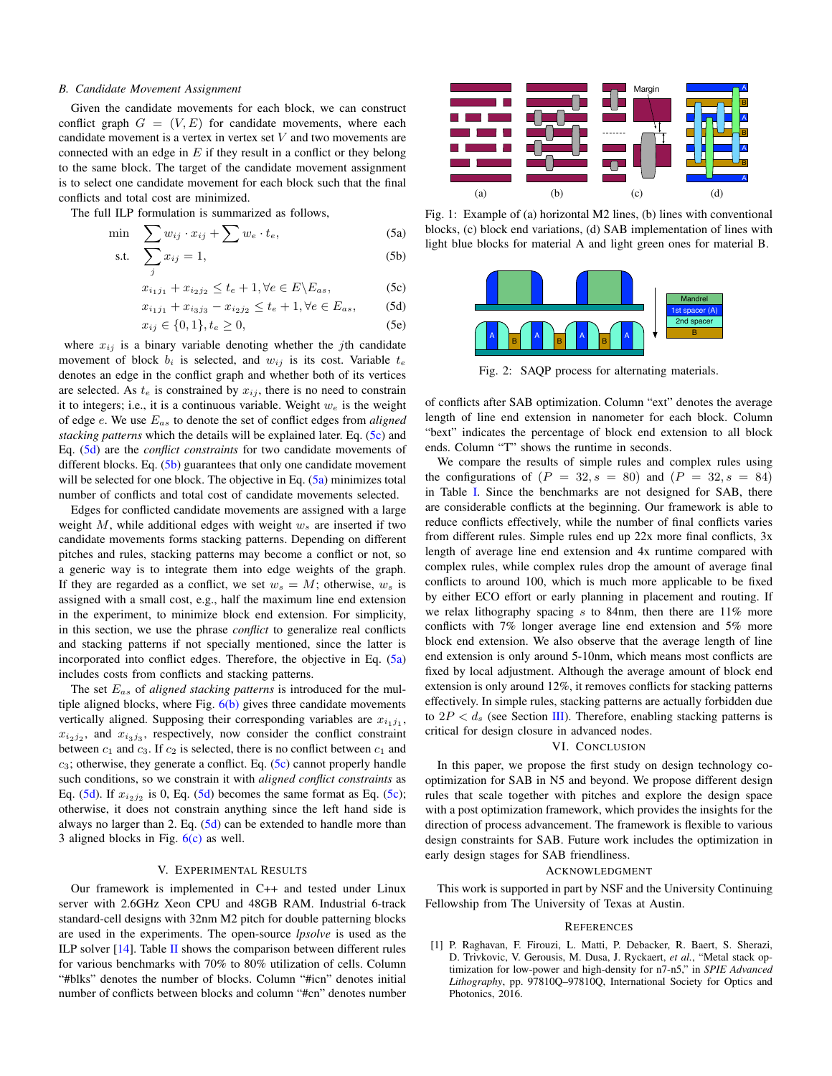# *B. Candidate Movement Assignment*

Given the candidate movements for each block, we can construct conflict graph  $G = (V, E)$  for candidate movements, where each candidate movement is a vertex in vertex set  $V$  and two movements are connected with an edge in  $E$  if they result in a conflict or they belong to the same block. The target of the candidate movement assignment is to select one candidate movement for each block such that the final conflicts and total cost are minimized.

The full ILP formulation is summarized as follows,

$$
\min \sum w_{ij} \cdot x_{ij} + \sum w_e \cdot t_e, \tag{5a}
$$

$$
\text{s.t.} \quad \sum_{j} x_{ij} = 1,\tag{5b}
$$

$$
x_{i_1j_1} + x_{i_2j_2} \le t_e + 1, \forall e \in E \backslash E_{as},\tag{5c}
$$

$$
x_{i_1j_1} + x_{i_3j_3} - x_{i_2j_2} \le t_e + 1, \forall e \in E_{as},
$$
 (5d)

$$
x_{ij} \in \{0, 1\}, t_e \ge 0,
$$
\n(5e)

where  $x_{ij}$  is a binary variable denoting whether the jth candidate movement of block  $b_i$  is selected, and  $w_{ij}$  is its cost. Variable  $t_e$ denotes an edge in the conflict graph and whether both of its vertices are selected. As  $t_e$  is constrained by  $x_{ij}$ , there is no need to constrain it to integers; i.e., it is a continuous variable. Weight  $w_e$  is the weight of edge e. We use Eas to denote the set of conflict edges from *aligned stacking patterns* which the details will be explained later. Eq. [\(5c\)](#page-2-7) and Eq. [\(5d\)](#page-2-8) are the *conflict constraints* for two candidate movements of different blocks. Eq.  $(5b)$  guarantees that only one candidate movement will be selected for one block. The objective in Eq.  $(5a)$  minimizes total number of conflicts and total cost of candidate movements selected.

Edges for conflicted candidate movements are assigned with a large weight  $M$ , while additional edges with weight  $w_s$  are inserted if two candidate movements forms stacking patterns. Depending on different pitches and rules, stacking patterns may become a conflict or not, so a generic way is to integrate them into edge weights of the graph. If they are regarded as a conflict, we set  $w_s = M$ ; otherwise,  $w_s$  is assigned with a small cost, e.g., half the maximum line end extension in the experiment, to minimize block end extension. For simplicity, in this section, we use the phrase *conflict* to generalize real conflicts and stacking patterns if not specially mentioned, since the latter is incorporated into conflict edges. Therefore, the objective in Eq. [\(5a\)](#page-2-10) includes costs from conflicts and stacking patterns.

The set Eas of *aligned stacking patterns* is introduced for the multiple aligned blocks, where Fig.  $6(b)$  gives three candidate movements vertically aligned. Supposing their corresponding variables are  $x_{i_1j_1}$ ,  $x_{i_2j_2}$ , and  $x_{i_3j_3}$ , respectively, now consider the conflict constraint between  $c_1$  and  $c_3$ . If  $c_2$  is selected, there is no conflict between  $c_1$  and  $c_3$ ; otherwise, they generate a conflict. Eq. [\(5c\)](#page-2-7) cannot properly handle such conditions, so we constrain it with *aligned conflict constraints* as Eq. [\(5d\)](#page-2-8). If  $x_{i_2 j_2}$  is 0, Eq. (5d) becomes the same format as Eq. [\(5c\)](#page-2-7); otherwise, it does not constrain anything since the left hand side is always no larger than 2. Eq.  $(5d)$  can be extended to handle more than 3 aligned blocks in Fig. [6\(c\)](#page-3-14) as well.

#### V. EXPERIMENTAL RESULTS

<span id="page-2-4"></span>Our framework is implemented in C++ and tested under Linux server with 2.6GHz Xeon CPU and 48GB RAM. Industrial 6-track standard-cell designs with 32nm M2 pitch for double patterning blocks are used in the experiments. The open-source *lpsolve* is used as the ILP solver  $[14]$ . Table [II](#page-3-16) shows the comparison between different rules for various benchmarks with 70% to 80% utilization of cells. Column "#blks" denotes the number of blocks. Column "#icn" denotes initial number of conflicts between blocks and column "#cn" denotes number

<span id="page-2-1"></span>

<span id="page-2-10"></span><span id="page-2-9"></span><span id="page-2-7"></span><span id="page-2-2"></span>Fig. 1: Example of (a) horizontal M2 lines, (b) lines with conventional blocks, (c) block end variations, (d) SAB implementation of lines with light blue blocks for material A and light green ones for material B.

<span id="page-2-8"></span><span id="page-2-6"></span><span id="page-2-3"></span>

Fig. 2: SAQP process for alternating materials.

of conflicts after SAB optimization. Column "ext" denotes the average length of line end extension in nanometer for each block. Column "bext" indicates the percentage of block end extension to all block ends. Column "T" shows the runtime in seconds.

We compare the results of simple rules and complex rules using the configurations of  $(P = 32, s = 80)$  and  $(P = 32, s = 84)$ in Table [I.](#page-3-7) Since the benchmarks are not designed for SAB, there are considerable conflicts at the beginning. Our framework is able to reduce conflicts effectively, while the number of final conflicts varies from different rules. Simple rules end up 22x more final conflicts, 3x length of average line end extension and 4x runtime compared with complex rules, while complex rules drop the amount of average final conflicts to around 100, which is much more applicable to be fixed by either ECO effort or early planning in placement and routing. If we relax lithography spacing  $s$  to 84nm, then there are 11% more conflicts with 7% longer average line end extension and 5% more block end extension. We also observe that the average length of line end extension is only around 5-10nm, which means most conflicts are fixed by local adjustment. Although the average amount of block end extension is only around 12%, it removes conflicts for stacking patterns effectively. In simple rules, stacking patterns are actually forbidden due to  $2P < d_s$  (see Section [III\)](#page-1-0). Therefore, enabling stacking patterns is critical for design closure in advanced nodes.

# VI. CONCLUSION

<span id="page-2-5"></span>In this paper, we propose the first study on design technology cooptimization for SAB in N5 and beyond. We propose different design rules that scale together with pitches and explore the design space with a post optimization framework, which provides the insights for the direction of process advancement. The framework is flexible to various design constraints for SAB. Future work includes the optimization in early design stages for SAB friendliness.

#### ACKNOWLEDGMENT

This work is supported in part by NSF and the University Continuing Fellowship from The University of Texas at Austin.

#### REFERENCES

<span id="page-2-0"></span>[1] P. Raghavan, F. Firouzi, L. Matti, P. Debacker, R. Baert, S. Sherazi, D. Trivkovic, V. Gerousis, M. Dusa, J. Ryckaert, *et al.*, "Metal stack optimization for low-power and high-density for n7-n5," in *SPIE Advanced Lithography*, pp. 97810Q–97810Q, International Society for Optics and Photonics, 2016.